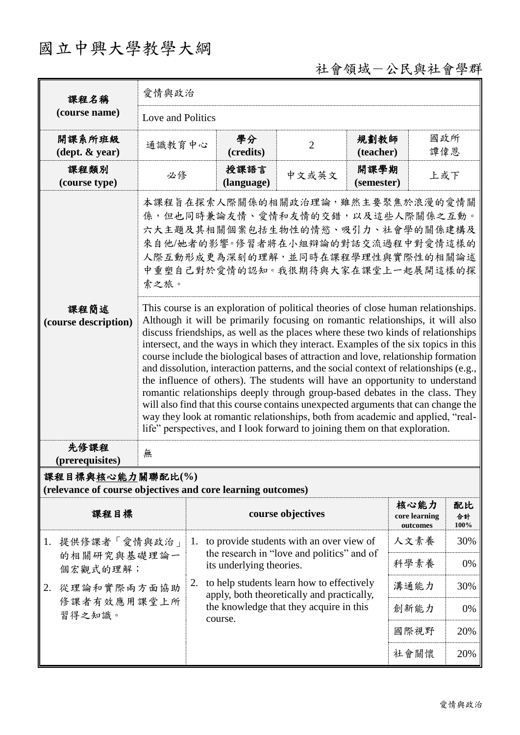## 國立中興大學教學大綱

### 社會領域-公民與社會學群

| 課程名稱                                                                            | 愛情與政治                                                                                                                                                                                                                                                                                                                                                                                                                                                                                                                                                                                                                                                                                                                                                                                                                                                                                                                                                 |                                                                                                                                               |                   |                    |                                   |                  |  |
|---------------------------------------------------------------------------------|-------------------------------------------------------------------------------------------------------------------------------------------------------------------------------------------------------------------------------------------------------------------------------------------------------------------------------------------------------------------------------------------------------------------------------------------------------------------------------------------------------------------------------------------------------------------------------------------------------------------------------------------------------------------------------------------------------------------------------------------------------------------------------------------------------------------------------------------------------------------------------------------------------------------------------------------------------|-----------------------------------------------------------------------------------------------------------------------------------------------|-------------------|--------------------|-----------------------------------|------------------|--|
| (course name)                                                                   | Love and Politics                                                                                                                                                                                                                                                                                                                                                                                                                                                                                                                                                                                                                                                                                                                                                                                                                                                                                                                                     |                                                                                                                                               |                   |                    |                                   |                  |  |
| 開課系所班級<br>$(\text{dept.} \& \text{ year})$                                      | 通識教育中心                                                                                                                                                                                                                                                                                                                                                                                                                                                                                                                                                                                                                                                                                                                                                                                                                                                                                                                                                | 學分<br>(credits)                                                                                                                               | $\overline{2}$    | 規劃教師<br>(teacher)  | 國政所<br>譚偉恩                        |                  |  |
| 課程類別<br>(course type)                                                           | 必修                                                                                                                                                                                                                                                                                                                                                                                                                                                                                                                                                                                                                                                                                                                                                                                                                                                                                                                                                    | 授課語言<br>(language)                                                                                                                            | 中文或英文             | 開課學期<br>(semester) | 上或下                               |                  |  |
|                                                                                 | 本課程旨在探索人際關係的相關政治理論,雖然主要聚焦於浪漫的愛情關<br>係,但也同時兼論友情、愛情和友情的交錯,以及這些人際關係之互動。<br>六大主題及其相關個案包括生物性的情慾、吸引力、社會學的關係建構及<br>來自他/她者的影響。修習者將在小組辯論的對話交流過程中對愛情這樣的<br>人際互動形成更為深刻的理解,並同時在課程學理性與實際性的相關論述<br>中重塑自己對於愛情的認知。我很期待與大家在課堂上一起展開這樣的探<br>索之旅。                                                                                                                                                                                                                                                                                                                                                                                                                                                                                                                                                                                                                                                                                                                         |                                                                                                                                               |                   |                    |                                   |                  |  |
| 課程簡述<br>(course description)                                                    | This course is an exploration of political theories of close human relationships.<br>Although it will be primarily focusing on romantic relationships, it will also<br>discuss friendships, as well as the places where these two kinds of relationships<br>intersect, and the ways in which they interact. Examples of the six topics in this<br>course include the biological bases of attraction and love, relationship formation<br>and dissolution, interaction patterns, and the social context of relationships (e.g.,<br>the influence of others). The students will have an opportunity to understand<br>romantic relationships deeply through group-based debates in the class. They<br>will also find that this course contains unexpected arguments that can change the<br>way they look at romantic relationships, both from academic and applied, "real-<br>life" perspectives, and I look forward to joining them on that exploration. |                                                                                                                                               |                   |                    |                                   |                  |  |
| 先修課程<br>(prerequisites)                                                         | 無                                                                                                                                                                                                                                                                                                                                                                                                                                                                                                                                                                                                                                                                                                                                                                                                                                                                                                                                                     |                                                                                                                                               |                   |                    |                                   |                  |  |
| 課程目標與核心能力關聯配比(%)<br>(relevance of course objectives and core learning outcomes) |                                                                                                                                                                                                                                                                                                                                                                                                                                                                                                                                                                                                                                                                                                                                                                                                                                                                                                                                                       |                                                                                                                                               |                   |                    |                                   |                  |  |
| 課程目標                                                                            |                                                                                                                                                                                                                                                                                                                                                                                                                                                                                                                                                                                                                                                                                                                                                                                                                                                                                                                                                       |                                                                                                                                               | course objectives |                    | 核心能力<br>core learning<br>outcomes | 配比<br>合計<br>100% |  |
| 1. 提供修課者「愛情與政治」                                                                 |                                                                                                                                                                                                                                                                                                                                                                                                                                                                                                                                                                                                                                                                                                                                                                                                                                                                                                                                                       | 1. to provide students with an over view of                                                                                                   |                   |                    |                                   | 30%              |  |
| 的相關研究與基礎理論一<br>個宏觀式的理解;                                                         |                                                                                                                                                                                                                                                                                                                                                                                                                                                                                                                                                                                                                                                                                                                                                                                                                                                                                                                                                       | the research in "love and politics" and of<br>its underlying theories.                                                                        |                   |                    | 科學素養                              | 0%               |  |
| 2. 從理論和實際兩方面協助                                                                  | 2.                                                                                                                                                                                                                                                                                                                                                                                                                                                                                                                                                                                                                                                                                                                                                                                                                                                                                                                                                    | to help students learn how to effectively<br>apply, both theoretically and practically,<br>the knowledge that they acquire in this<br>course. |                   | 溝通能力               | 30%                               |                  |  |
| 修課者有效應用課堂上所<br>習得之知識。                                                           |                                                                                                                                                                                                                                                                                                                                                                                                                                                                                                                                                                                                                                                                                                                                                                                                                                                                                                                                                       |                                                                                                                                               |                   | 創新能力               | 0%                                |                  |  |
|                                                                                 |                                                                                                                                                                                                                                                                                                                                                                                                                                                                                                                                                                                                                                                                                                                                                                                                                                                                                                                                                       |                                                                                                                                               |                   | 國際視野               | 20%                               |                  |  |
|                                                                                 |                                                                                                                                                                                                                                                                                                                                                                                                                                                                                                                                                                                                                                                                                                                                                                                                                                                                                                                                                       |                                                                                                                                               |                   |                    | 社會關懷                              | 20%              |  |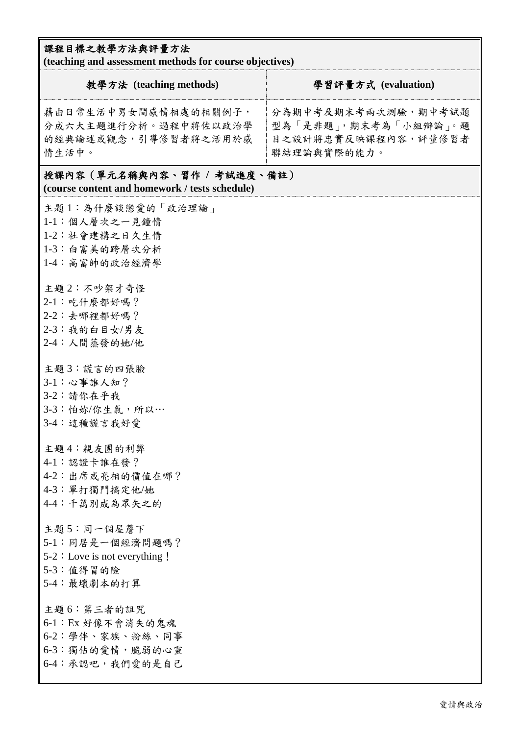#### 課程目標之教學方法與評量方法

**(teaching and assessment methods for course objectives)**

| 教學方法 (teaching methods)                                                                         | 學習評量方式 (evaluation)                                                               |  |  |  |  |
|-------------------------------------------------------------------------------------------------|-----------------------------------------------------------------------------------|--|--|--|--|
| 藉由日常生活中男女間感情相處的相關例子,<br>分成六大主題進行分析。過程中將佐以政治學<br>的經典論述或觀念,引導修習者將之活用於感<br>情生活中。                   | 分為期中考及期末考兩次測驗,期中考試題<br>型為「是非題」,期末考為「小組辯論」。題<br>目之設計將忠實反映課程內容,評量修習者<br>聯結理論與實際的能力。 |  |  |  |  |
| 授課內容(單元名稱與內容、習作 / 考試進度、備註)<br>(course content and homework / tests schedule)                    |                                                                                   |  |  |  |  |
| 主題1:為什麼談戀愛的「政治理論」<br>1-1:個人層次之一見鐘情<br>1-2:社會建構之日久生情<br>1-3:白富美的跨層次分析<br>1-4:高富帥的政治經濟學           |                                                                                   |  |  |  |  |
| 主題2:不吵架才奇怪<br>2-1: 吃什麼都好嗎?<br>2-2:去哪裡都好嗎?<br>2-3:我的白目女/男友<br>2-4: 人間蒸發的她/他                      |                                                                                   |  |  |  |  |
| 主題3:謊言的四張臉<br>3-1:心事誰人知?<br>3-2:請你在乎我<br>3-3:怕妳/你生氣,所以…<br>3-4:這種謊言我好愛                          |                                                                                   |  |  |  |  |
| 主題4:親友團的利弊<br>4-1:認證卡誰在發?<br>4-2:出席或亮相的價值在哪?<br>4-3: 單打獨鬥搞定他/她<br>4-4:千萬別成為眾矢之的                 |                                                                                   |  |  |  |  |
| 主題 5:同一個屋簷下<br>5-1:同居是一個經濟問題嗎?<br>$5-2$ : Love is not everything !<br>5-3:值得冒的險<br>5-4: 最壞劇本的打算 |                                                                                   |  |  |  |  |
| 主題6:第三者的詛咒<br>6-1: Ex 好像不會消失的鬼魂<br>6-2:學伴、家族、粉絲、同事<br>6-3:獨佔的愛情,脆弱的心靈<br>6-4:承認吧,我們愛的是自己        |                                                                                   |  |  |  |  |